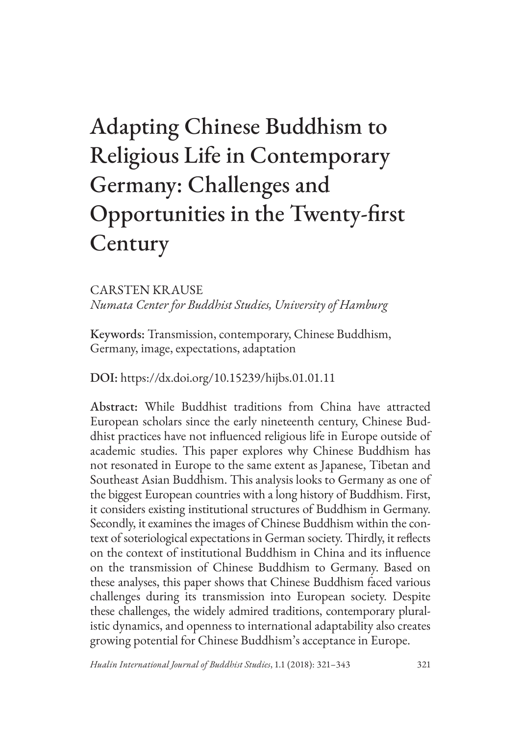# Adapting Chinese Buddhism to Religious Life in Contemporary Germany: Challenges and Opportunities in the Twenty-first **Century**

CARSTEN KRAUSE *Numata Center for Buddhist Studies, University of Hamburg*

Keywords: Transmission, contemporary, Chinese Buddhism, Germany, image, expectations, adaptation

DOI: <https://dx.doi.org/10.15239/hijbs.01.01.11>

Abstract: While Buddhist traditions from China have attracted European scholars since the early nineteenth century, Chinese Buddhist practices have not influenced religious life in Europe outside of academic studies. This paper explores why Chinese Buddhism has not resonated in Europe to the same extent as Japanese, Tibetan and Southeast Asian Buddhism. This analysis looks to Germany as one of the biggest European countries with a long history of Buddhism. First, it considers existing institutional structures of Buddhism in Germany. Secondly, it examines the images of Chinese Buddhism within the context of soteriological expectations in German society. Thirdly, it reflects on the context of institutional Buddhism in China and its influence on the transmission of Chinese Buddhism to Germany. Based on these analyses, this paper shows that Chinese Buddhism faced various challenges during its transmission into European society. Despite these challenges, the widely admired traditions, contemporary pluralistic dynamics, and openness to international adaptability also creates growing potential for Chinese Buddhism's acceptance in Europe.

*Hualin International Journal of Buddhist Studies*, 1.1 (2018): 321–343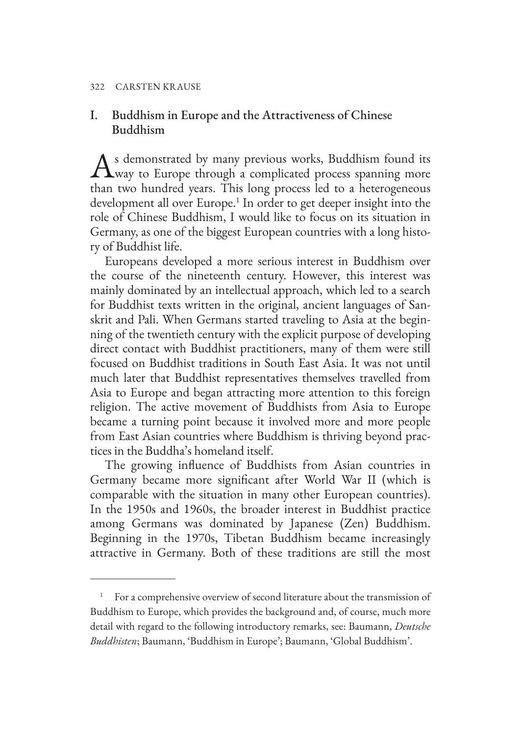# I. Buddhism in Europe and the Attractiveness of Chinese Buddhism

As demonstrated by many previous works, Buddhism found its way to Europe through a complicated process spanning more than two hundred years. This long process led to a heterogeneous development all over Europe.<sup>1</sup> In order to get deeper insight into the role of Chinese Buddhism, I would like to focus on its situation in Germany, as one of the biggest European countries with a long history of Buddhist life.

Europeans developed a more serious interest in Buddhism over the course of the nineteenth century. However, this interest was mainly dominated by an intellectual approach, which led to a search for Buddhist texts written in the original, ancient languages of Sanskrit and Pali. When Germans started traveling to Asia at the beginning of the twentieth century with the explicit purpose of developing direct contact with Buddhist practitioners, many of them were still focused on Buddhist traditions in South East Asia. It was not until much later that Buddhist representatives themselves travelled from Asia to Europe and began attracting more attention to this foreign religion. The active movement of Buddhists from Asia to Europe became a turning point because it involved more and more people from East Asian countries where Buddhism is thriving beyond practices in the Buddha's homeland itself.

The growing influence of Buddhists from Asian countries in Germany became more significant after World War II (which is comparable with the situation in many other European countries). In the 1950s and 1960s, the broader interest in Buddhist practice among Germans was dominated by Japanese (Zen) Buddhism. Beginning in the 1970s, Tibetan Buddhism became increasingly attractive in Germany. Both of these traditions are still the most

<sup>1</sup> For a comprehensive overview of second literature about the transmission of Buddhism to Europe, which provides the background and, of course, much more detail with regard to the following introductory remarks, see: Baumann, *Deutsche Buddhisten*; Baumann, 'Buddhism in Europe'; Baumann, 'Global Buddhism'.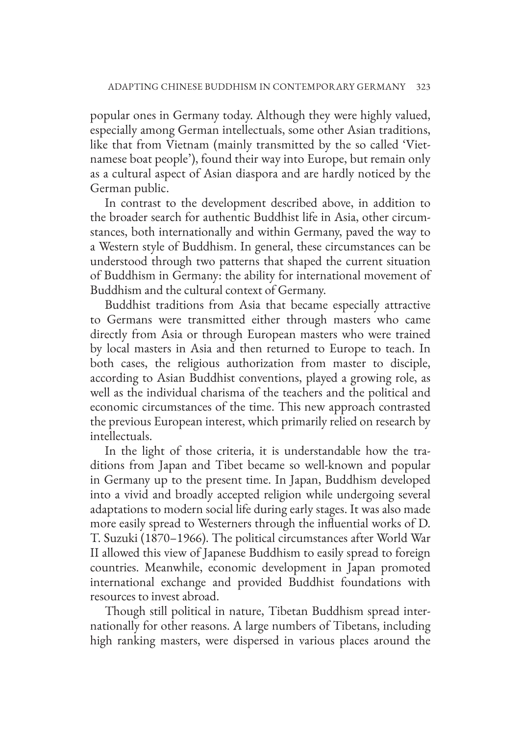popular ones in Germany today. Although they were highly valued, especially among German intellectuals, some other Asian traditions, like that from Vietnam (mainly transmitted by the so called 'Vietnamese boat people'), found their way into Europe, but remain only as a cultural aspect of Asian diaspora and are hardly noticed by the German public.

In contrast to the development described above, in addition to the broader search for authentic Buddhist life in Asia, other circumstances, both internationally and within Germany, paved the way to a Western style of Buddhism. In general, these circumstances can be understood through two patterns that shaped the current situation of Buddhism in Germany: the ability for international movement of Buddhism and the cultural context of Germany.

Buddhist traditions from Asia that became especially attractive to Germans were transmitted either through masters who came directly from Asia or through European masters who were trained by local masters in Asia and then returned to Europe to teach. In both cases, the religious authorization from master to disciple, according to Asian Buddhist conventions, played a growing role, as well as the individual charisma of the teachers and the political and economic circumstances of the time. This new approach contrasted the previous European interest, which primarily relied on research by intellectuals.

In the light of those criteria, it is understandable how the traditions from Japan and Tibet became so well-known and popular in Germany up to the present time. In Japan, Buddhism developed into a vivid and broadly accepted religion while undergoing several adaptations to modern social life during early stages. It was also made more easily spread to Westerners through the influential works of D. T. Suzuki (1870–1966). The political circumstances after World War II allowed this view of Japanese Buddhism to easily spread to foreign countries. Meanwhile, economic development in Japan promoted international exchange and provided Buddhist foundations with resources to invest abroad.

Though still political in nature, Tibetan Buddhism spread internationally for other reasons. A large numbers of Tibetans, including high ranking masters, were dispersed in various places around the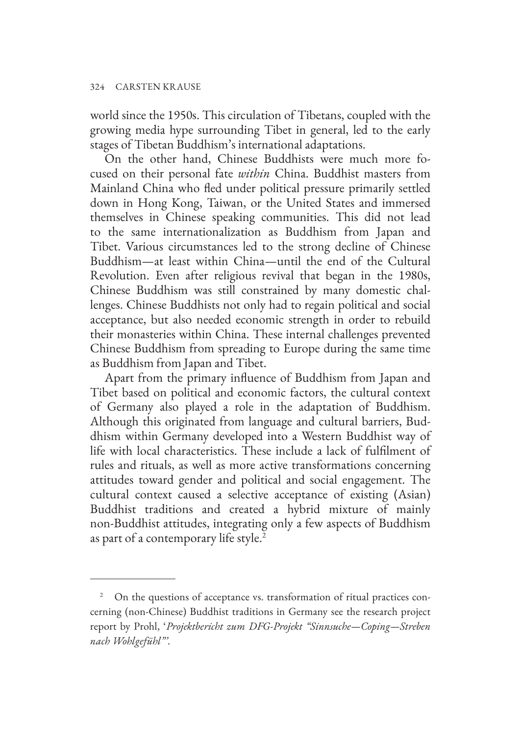world since the 1950s. This circulation of Tibetans, coupled with the growing media hype surrounding Tibet in general, led to the early stages of Tibetan Buddhism's international adaptations.

On the other hand, Chinese Buddhists were much more focused on their personal fate *within* China. Buddhist masters from Mainland China who fled under political pressure primarily settled down in Hong Kong, Taiwan, or the United States and immersed themselves in Chinese speaking communities. This did not lead to the same internationalization as Buddhism from Japan and Tibet. Various circumstances led to the strong decline of Chinese Buddhism—at least within China—until the end of the Cultural Revolution. Even after religious revival that began in the 1980s, Chinese Buddhism was still constrained by many domestic challenges. Chinese Buddhists not only had to regain political and social acceptance, but also needed economic strength in order to rebuild their monasteries within China. These internal challenges prevented Chinese Buddhism from spreading to Europe during the same time as Buddhism from Japan and Tibet.

Apart from the primary influence of Buddhism from Japan and Tibet based on political and economic factors, the cultural context of Germany also played a role in the adaptation of Buddhism. Although this originated from language and cultural barriers, Buddhism within Germany developed into a Western Buddhist way of life with local characteristics. These include a lack of fulfilment of rules and rituals, as well as more active transformations concerning attitudes toward gender and political and social engagement. The cultural context caused a selective acceptance of existing (Asian) Buddhist traditions and created a hybrid mixture of mainly non-Buddhist attitudes, integrating only a few aspects of Buddhism as part of a contemporary life style.<sup>2</sup>

<sup>&</sup>lt;sup>2</sup> On the questions of acceptance vs. transformation of ritual practices concerning (non-Chinese) Buddhist traditions in Germany see the research project report by Prohl, '*Projektbericht zum DFG-Projekt "Sinnsuche—Coping—Streben nach Wohlgefühl"'*.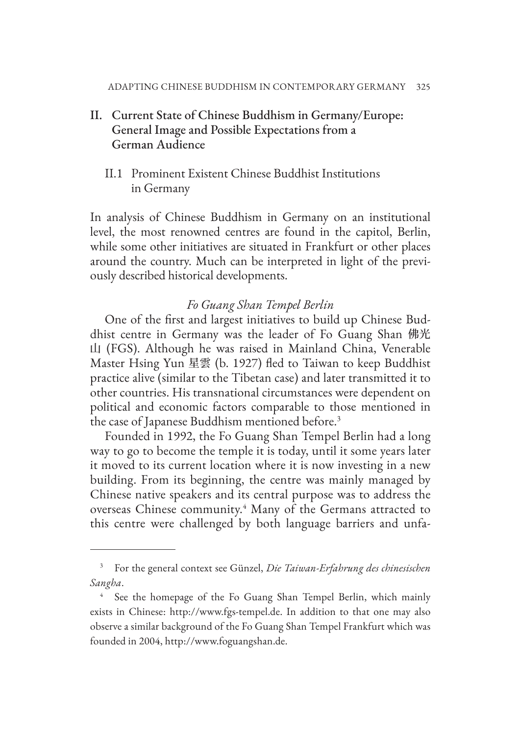- II. Current State of Chinese Buddhism in Germany/Europe: General Image and Possible Expectations from a German Audience
	- II.1 Prominent Existent Chinese Buddhist Institutions in Germany

In analysis of Chinese Buddhism in Germany on an institutional level, the most renowned centres are found in the capitol, Berlin, while some other initiatives are situated in Frankfurt or other places around the country. Much can be interpreted in light of the previously described historical developments.

## *Fo Guang Shan Tempel Berlin*

One of the first and largest initiatives to build up Chinese Buddhist centre in Germany was the leader of Fo Guang Shan 佛光 山 (FGS). Although he was raised in Mainland China, Venerable Master Hsing Yun 星雲 (b. 1927) fled to Taiwan to keep Buddhist practice alive (similar to the Tibetan case) and later transmitted it to other countries. His transnational circumstances were dependent on political and economic factors comparable to those mentioned in the case of Japanese Buddhism mentioned before.<sup>3</sup>

Founded in 1992, the Fo Guang Shan Tempel Berlin had a long way to go to become the temple it is today, until it some years later it moved to its current location where it is now investing in a new building. From its beginning, the centre was mainly managed by Chinese native speakers and its central purpose was to address the overseas Chinese community.<sup>4</sup> Many of the Germans attracted to this centre were challenged by both language barriers and unfa-

<sup>3</sup> For the general context see Günzel, *Die Taiwan-Erfahrung des chinesischen Sangha*.

See the homepage of the Fo Guang Shan Tempel Berlin, which mainly exists in Chinese: http://www.fgs-tempel.de. In addition to that one may also observe a similar background of the Fo Guang Shan Tempel Frankfurt which was founded in 2004, http://www.foguangshan.de.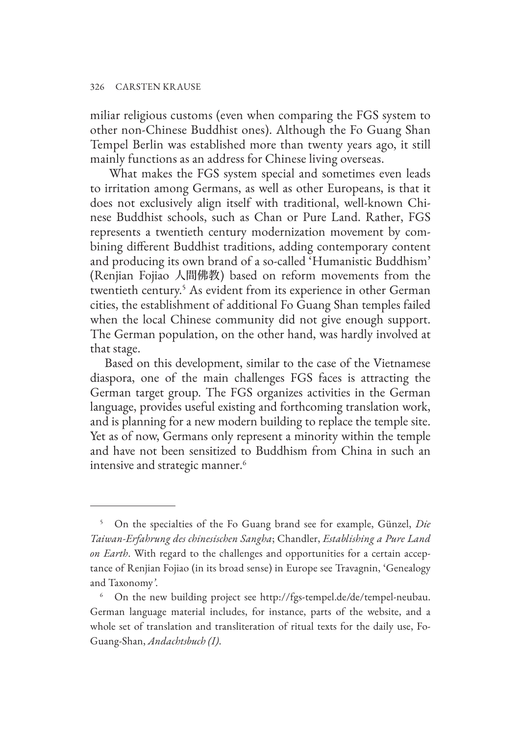miliar religious customs (even when comparing the FGS system to other non-Chinese Buddhist ones). Although the Fo Guang Shan Tempel Berlin was established more than twenty years ago, it still mainly functions as an address for Chinese living overseas.

 What makes the FGS system special and sometimes even leads to irritation among Germans, as well as other Europeans, is that it does not exclusively align itself with traditional, well-known Chinese Buddhist schools, such as Chan or Pure Land. Rather, FGS represents a twentieth century modernization movement by combining different Buddhist traditions, adding contemporary content and producing its own brand of a so-called 'Humanistic Buddhism' (Renjian Fojiao 人間佛教) based on reform movements from the twentieth century.<sup>5</sup> As evident from its experience in other German cities, the establishment of additional Fo Guang Shan temples failed when the local Chinese community did not give enough support. The German population, on the other hand, was hardly involved at that stage.

Based on this development, similar to the case of the Vietnamese diaspora, one of the main challenges FGS faces is attracting the German target group. The FGS organizes activities in the German language, provides useful existing and forthcoming translation work, and is planning for a new modern building to replace the temple site. Yet as of now, Germans only represent a minority within the temple and have not been sensitized to Buddhism from China in such an intensive and strategic manner.<sup>6</sup>

<sup>5</sup> On the specialties of the Fo Guang brand see for example, Günzel, *Die Taiwan-Erfahrung des chinesischen Sangha*; Chandler, *Establishing a Pure Land on Earth*. With regard to the challenges and opportunities for a certain acceptance of Renjian Fojiao (in its broad sense) in Europe see Travagnin, 'Genealogy and Taxonomy*'*.

<sup>6</sup> On the new building project see http://fgs-tempel.de/de/tempel-neubau. German language material includes, for instance, parts of the website, and a whole set of translation and transliteration of ritual texts for the daily use, Fo-Guang-Shan, *Andachtsbuch (I)*.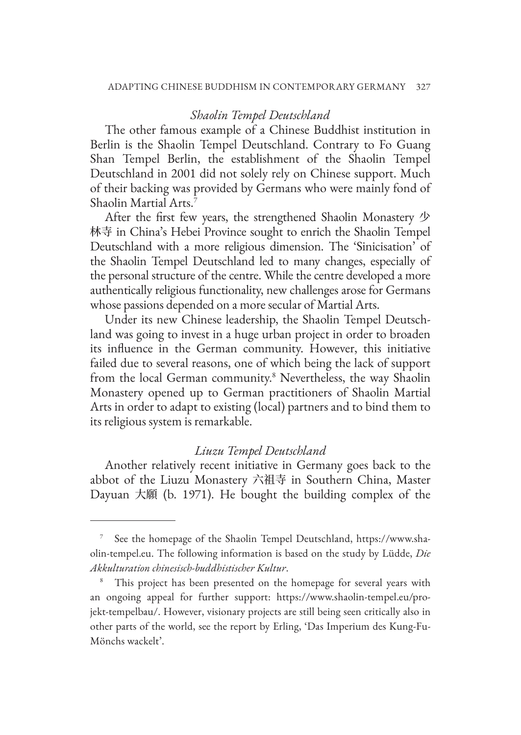## *Shaolin Tempel Deutschland*

The other famous example of a Chinese Buddhist institution in Berlin is the Shaolin Tempel Deutschland. Contrary to Fo Guang Shan Tempel Berlin, the establishment of the Shaolin Tempel Deutschland in 2001 did not solely rely on Chinese support. Much of their backing was provided by Germans who were mainly fond of Shaolin Martial Arts.<sup>7</sup>

After the first few years, the strengthened Shaolin Monastery 少 林寺 in China's Hebei Province sought to enrich the Shaolin Tempel Deutschland with a more religious dimension. The 'Sinicisation' of the Shaolin Tempel Deutschland led to many changes, especially of the personal structure of the centre. While the centre developed a more authentically religious functionality, new challenges arose for Germans whose passions depended on a more secular of Martial Arts.

Under its new Chinese leadership, the Shaolin Tempel Deutschland was going to invest in a huge urban project in order to broaden its influence in the German community. However, this initiative failed due to several reasons, one of which being the lack of support from the local German community.<sup>8</sup> Nevertheless, the way Shaolin Monastery opened up to German practitioners of Shaolin Martial Arts in order to adapt to existing (local) partners and to bind them to its religious system is remarkable.

## *Liuzu Tempel Deutschland*

Another relatively recent initiative in Germany goes back to the abbot of the Liuzu Monastery 六祖寺 in Southern China, Master Dayuan 大願 (b. 1971). He bought the building complex of the

See the homepage of the Shaolin Tempel Deutschland, https://www.shaolin-tempel.eu. The following information is based on the study by Lüdde, *Die Akkulturation chinesisch-buddhistischer Kultur*.

<sup>&</sup>lt;sup>8</sup> This project has been presented on the homepage for several years with an ongoing appeal for further support: https://www.shaolin-tempel.eu/projekt-tempelbau/. However, visionary projects are still being seen critically also in other parts of the world, see the report by Erling, 'Das Imperium des Kung-Fu-Mönchs wackelt'.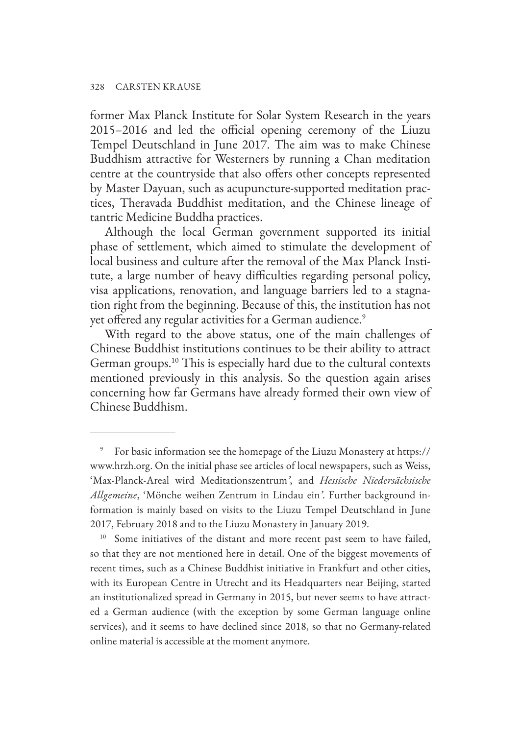former Max Planck Institute for Solar System Research in the years 2015–2016 and led the official opening ceremony of the Liuzu Tempel Deutschland in June 2017. The aim was to make Chinese Buddhism attractive for Westerners by running a Chan meditation centre at the countryside that also offers other concepts represented by Master Dayuan, such as acupuncture-supported meditation practices, Theravada Buddhist meditation, and the Chinese lineage of tantric Medicine Buddha practices.

Although the local German government supported its initial phase of settlement, which aimed to stimulate the development of local business and culture after the removal of the Max Planck Institute, a large number of heavy difficulties regarding personal policy, visa applications, renovation, and language barriers led to a stagnation right from the beginning. Because of this, the institution has not yet offered any regular activities for a German audience.<sup>9</sup>

With regard to the above status, one of the main challenges of Chinese Buddhist institutions continues to be their ability to attract German groups.10 This is especially hard due to the cultural contexts mentioned previously in this analysis. So the question again arises concerning how far Germans have already formed their own view of Chinese Buddhism.

<sup>9</sup> For basic information see the homepage of the Liuzu Monastery at https:// www.hrzh.org. On the initial phase see articles of local newspapers, such as Weiss, 'Max-Planck-Areal wird Meditationszentrum*'*, and *Hessische Niedersächsische Allgemeine*, 'Mönche weihen Zentrum in Lindau ein*'*. Further background information is mainly based on visits to the Liuzu Tempel Deutschland in June 2017, February 2018 and to the Liuzu Monastery in January 2019.

<sup>&</sup>lt;sup>10</sup> Some initiatives of the distant and more recent past seem to have failed, so that they are not mentioned here in detail. One of the biggest movements of recent times, such as a Chinese Buddhist initiative in Frankfurt and other cities, with its European Centre in Utrecht and its Headquarters near Beijing, started an institutionalized spread in Germany in 2015, but never seems to have attracted a German audience (with the exception by some German language online services), and it seems to have declined since 2018, so that no Germany-related online material is accessible at the moment anymore.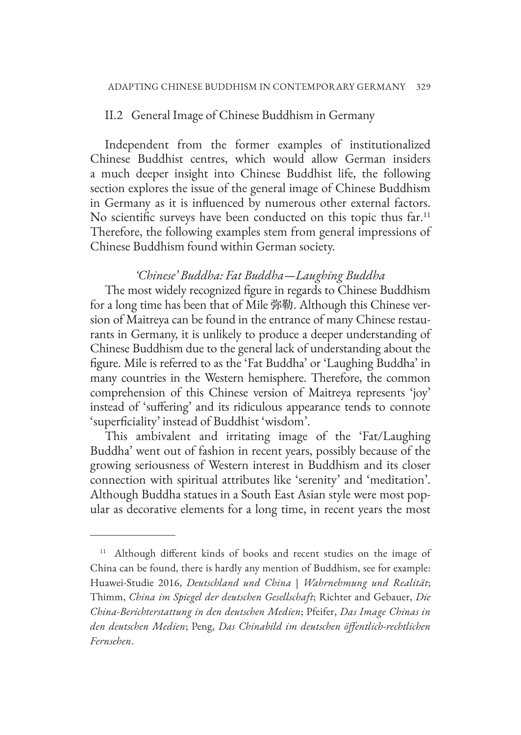## II.2 General Image of Chinese Buddhism in Germany

Independent from the former examples of institutionalized Chinese Buddhist centres, which would allow German insiders a much deeper insight into Chinese Buddhist life, the following section explores the issue of the general image of Chinese Buddhism in Germany as it is influenced by numerous other external factors. No scientific surveys have been conducted on this topic thus far.<sup>11</sup> Therefore, the following examples stem from general impressions of Chinese Buddhism found within German society.

#### *'Chinese' Buddha: Fat Buddha—Laughing Buddha*

The most widely recognized figure in regards to Chinese Buddhism for a long time has been that of Mile 弥勒. Although this Chinese version of Maitreya can be found in the entrance of many Chinese restaurants in Germany, it is unlikely to produce a deeper understanding of Chinese Buddhism due to the general lack of understanding about the figure. Mile is referred to as the 'Fat Buddha' or 'Laughing Buddha' in many countries in the Western hemisphere. Therefore, the common comprehension of this Chinese version of Maitreya represents 'joy' instead of 'suffering' and its ridiculous appearance tends to connote 'superficiality' instead of Buddhist 'wisdom'.

This ambivalent and irritating image of the 'Fat/Laughing Buddha' went out of fashion in recent years, possibly because of the growing seriousness of Western interest in Buddhism and its closer connection with spiritual attributes like 'serenity' and 'meditation'. Although Buddha statues in a South East Asian style were most popular as decorative elements for a long time, in recent years the most

<sup>&</sup>lt;sup>11</sup> Although different kinds of books and recent studies on the image of China can be found, there is hardly any mention of Buddhism, see for example: Huawei-Studie 2016, *Deutschland und China | Wahrnehmung und Realität*; Thimm, *China im Spiegel der deutschen Gesellschaft*; Richter and Gebauer, *Die China-Berichterstattung in den deutschen Medien*; Pfeifer, *Das Image Chinas in den deutschen Medien*; Peng, *Das Chinabild im deutschen öffentlich-rechtlichen Fernsehen*.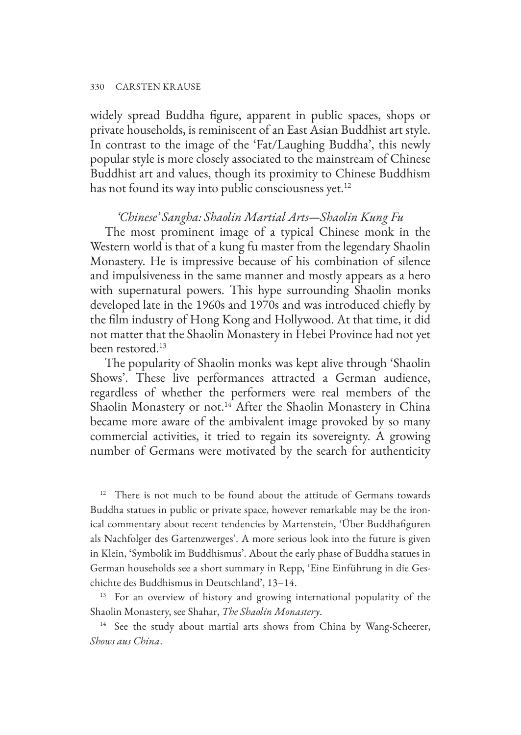widely spread Buddha figure, apparent in public spaces, shops or private households, is reminiscent of an East Asian Buddhist art style. In contrast to the image of the 'Fat/Laughing Buddha', this newly popular style is more closely associated to the mainstream of Chinese Buddhist art and values, though its proximity to Chinese Buddhism has not found its way into public consciousness yet.<sup>12</sup>

## *'Chinese' Sangha: Shaolin Martial Arts—Shaolin Kung Fu*

The most prominent image of a typical Chinese monk in the Western world is that of a kung fu master from the legendary Shaolin Monastery. He is impressive because of his combination of silence and impulsiveness in the same manner and mostly appears as a hero with supernatural powers. This hype surrounding Shaolin monks developed late in the 1960s and 1970s and was introduced chiefly by the film industry of Hong Kong and Hollywood. At that time, it did not matter that the Shaolin Monastery in Hebei Province had not yet been restored.13

The popularity of Shaolin monks was kept alive through 'Shaolin Shows'. These live performances attracted a German audience, regardless of whether the performers were real members of the Shaolin Monastery or not.<sup>14</sup> After the Shaolin Monastery in China became more aware of the ambivalent image provoked by so many commercial activities, it tried to regain its sovereignty. A growing number of Germans were motivated by the search for authenticity

<sup>&</sup>lt;sup>12</sup> There is not much to be found about the attitude of Germans towards Buddha statues in public or private space, however remarkable may be the ironical commentary about recent tendencies by Martenstein, 'Über Buddhafiguren als Nachfolger des Gartenzwerges'. A more serious look into the future is given in Klein, 'Symbolik im Buddhismus'. About the early phase of Buddha statues in German households see a short summary in Repp, 'Eine Einführung in die Geschichte des Buddhismus in Deutschland', 13–14.

<sup>&</sup>lt;sup>13</sup> For an overview of history and growing international popularity of the Shaolin Monastery, see Shahar, *The Shaolin Monastery*.

<sup>&</sup>lt;sup>14</sup> See the study about martial arts shows from China by Wang-Scheerer, *Shows aus China*.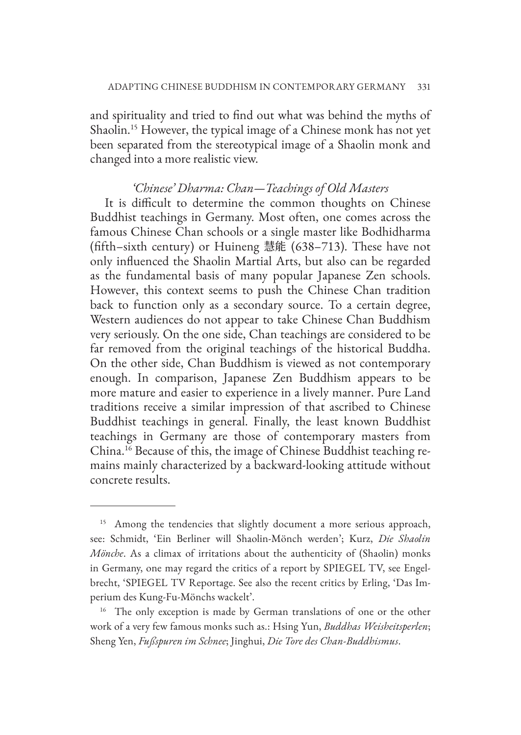and spirituality and tried to find out what was behind the myths of Shaolin.15 However, the typical image of a Chinese monk has not yet been separated from the stereotypical image of a Shaolin monk and changed into a more realistic view.

#### *'Chinese' Dharma: Chan—Teachings of Old Masters*

It is difficult to determine the common thoughts on Chinese Buddhist teachings in Germany. Most often, one comes across the famous Chinese Chan schools or a single master like Bodhidharma (fifth–sixth century) or Huineng 慧能 (638–713). These have not only influenced the Shaolin Martial Arts, but also can be regarded as the fundamental basis of many popular Japanese Zen schools. However, this context seems to push the Chinese Chan tradition back to function only as a secondary source. To a certain degree, Western audiences do not appear to take Chinese Chan Buddhism very seriously. On the one side, Chan teachings are considered to be far removed from the original teachings of the historical Buddha. On the other side, Chan Buddhism is viewed as not contemporary enough. In comparison, Japanese Zen Buddhism appears to be more mature and easier to experience in a lively manner. Pure Land traditions receive a similar impression of that ascribed to Chinese Buddhist teachings in general. Finally, the least known Buddhist teachings in Germany are those of contemporary masters from China.16 Because of this, the image of Chinese Buddhist teaching remains mainly characterized by a backward-looking attitude without concrete results.

<sup>&</sup>lt;sup>15</sup> Among the tendencies that slightly document a more serious approach, see: Schmidt, 'Ein Berliner will Shaolin-Mönch werden'; Kurz, *Die Shaolin Mönche*. As a climax of irritations about the authenticity of (Shaolin) monks in Germany, one may regard the critics of a report by SPIEGEL TV, see Engelbrecht, 'SPIEGEL TV Reportage. See also the recent critics by Erling, 'Das Imperium des Kung-Fu-Mönchs wackelt'.

<sup>&</sup>lt;sup>16</sup> The only exception is made by German translations of one or the other work of a very few famous monks such as.: Hsing Yun, *Buddhas Weisheitsperlen*; Sheng Yen, *Fußspuren im Schnee*; Jinghui, *Die Tore des Chan-Buddhismus*.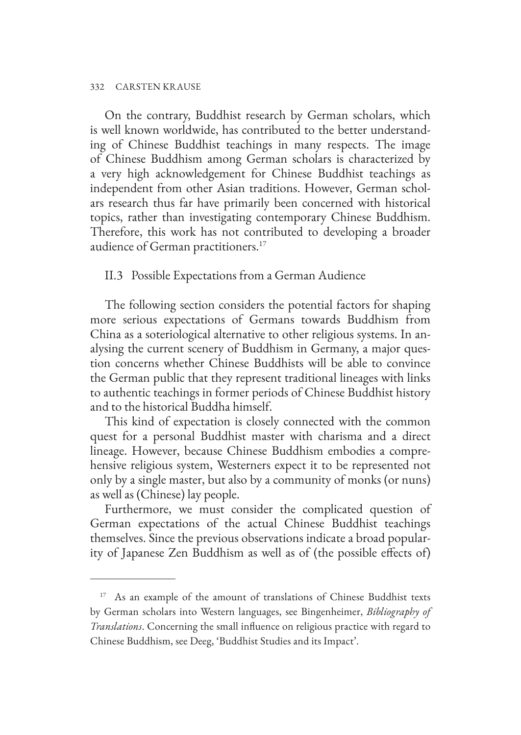On the contrary, Buddhist research by German scholars, which is well known worldwide, has contributed to the better understanding of Chinese Buddhist teachings in many respects. The image of Chinese Buddhism among German scholars is characterized by a very high acknowledgement for Chinese Buddhist teachings as independent from other Asian traditions. However, German scholars research thus far have primarily been concerned with historical topics, rather than investigating contemporary Chinese Buddhism. Therefore, this work has not contributed to developing a broader audience of German practitioners.<sup>17</sup>

## II.3 Possible Expectations from a German Audience

The following section considers the potential factors for shaping more serious expectations of Germans towards Buddhism from China as a soteriological alternative to other religious systems. In analysing the current scenery of Buddhism in Germany, a major question concerns whether Chinese Buddhists will be able to convince the German public that they represent traditional lineages with links to authentic teachings in former periods of Chinese Buddhist history and to the historical Buddha himself.

This kind of expectation is closely connected with the common quest for a personal Buddhist master with charisma and a direct lineage. However, because Chinese Buddhism embodies a comprehensive religious system, Westerners expect it to be represented not only by a single master, but also by a community of monks (or nuns) as well as (Chinese) lay people.

Furthermore, we must consider the complicated question of German expectations of the actual Chinese Buddhist teachings themselves. Since the previous observations indicate a broad popularity of Japanese Zen Buddhism as well as of (the possible effects of)

<sup>&</sup>lt;sup>17</sup> As an example of the amount of translations of Chinese Buddhist texts by German scholars into Western languages, see Bingenheimer, *Bibliography of Translations*. Concerning the small influence on religious practice with regard to Chinese Buddhism, see Deeg, 'Buddhist Studies and its Impact'.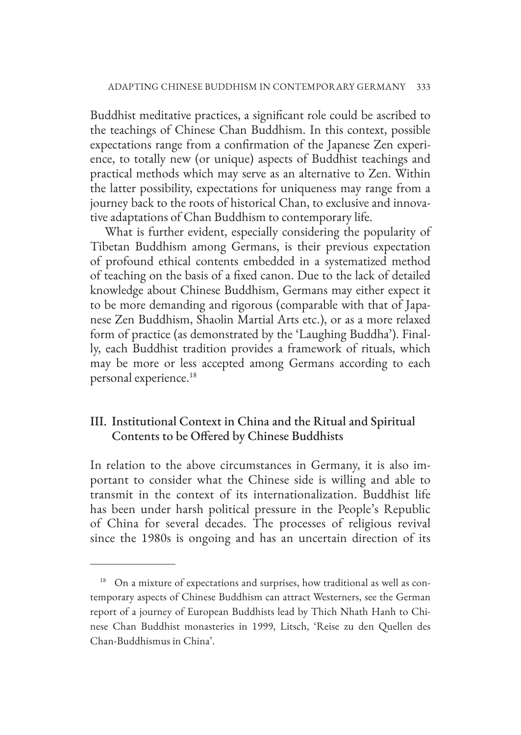Buddhist meditative practices, a significant role could be ascribed to the teachings of Chinese Chan Buddhism. In this context, possible expectations range from a confirmation of the Japanese Zen experience, to totally new (or unique) aspects of Buddhist teachings and practical methods which may serve as an alternative to Zen. Within the latter possibility, expectations for uniqueness may range from a journey back to the roots of historical Chan, to exclusive and innovative adaptations of Chan Buddhism to contemporary life.

What is further evident, especially considering the popularity of Tibetan Buddhism among Germans, is their previous expectation of profound ethical contents embedded in a systematized method of teaching on the basis of a fixed canon. Due to the lack of detailed knowledge about Chinese Buddhism, Germans may either expect it to be more demanding and rigorous (comparable with that of Japanese Zen Buddhism, Shaolin Martial Arts etc.), or as a more relaxed form of practice (as demonstrated by the 'Laughing Buddha'). Finally, each Buddhist tradition provides a framework of rituals, which may be more or less accepted among Germans according to each personal experience.<sup>18</sup>

# III. Institutional Context in China and the Ritual and Spiritual Contents to be Offered by Chinese Buddhists

In relation to the above circumstances in Germany, it is also important to consider what the Chinese side is willing and able to transmit in the context of its internationalization. Buddhist life has been under harsh political pressure in the People's Republic of China for several decades. The processes of religious revival since the 1980s is ongoing and has an uncertain direction of its

<sup>&</sup>lt;sup>18</sup> On a mixture of expectations and surprises, how traditional as well as contemporary aspects of Chinese Buddhism can attract Westerners, see the German report of a journey of European Buddhists lead by Thich Nhath Hanh to Chinese Chan Buddhist monasteries in 1999, Litsch, 'Reise zu den Quellen des Chan-Buddhismus in China'.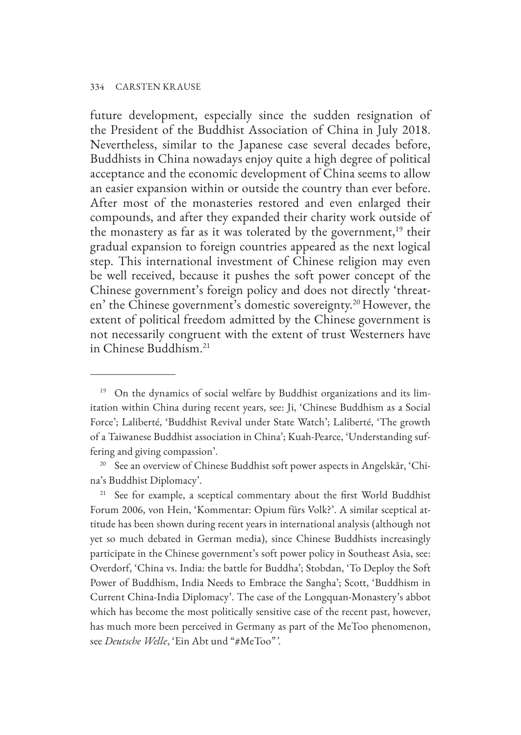future development, especially since the sudden resignation of the President of the Buddhist Association of China in July 2018. Nevertheless, similar to the Japanese case several decades before, Buddhists in China nowadays enjoy quite a high degree of political acceptance and the economic development of China seems to allow an easier expansion within or outside the country than ever before. After most of the monasteries restored and even enlarged their compounds, and after they expanded their charity work outside of the monastery as far as it was tolerated by the government,<sup>19</sup> their gradual expansion to foreign countries appeared as the next logical step. This international investment of Chinese religion may even be well received, because it pushes the soft power concept of the Chinese government's foreign policy and does not directly 'threaten' the Chinese government's domestic sovereignty.20 However, the extent of political freedom admitted by the Chinese government is not necessarily congruent with the extent of trust Westerners have in Chinese Buddhism.21

<sup>21</sup> See for example, a sceptical commentary about the first World Buddhist Forum 2006, von Hein, 'Kommentar: Opium fürs Volk?'. A similar sceptical attitude has been shown during recent years in international analysis (although not yet so much debated in German media), since Chinese Buddhists increasingly participate in the Chinese government's soft power policy in Southeast Asia, see: Overdorf, 'China vs. India: the battle for Buddha'; Stobdan, 'To Deploy the Soft Power of Buddhism, India Needs to Embrace the Sangha'; Scott, 'Buddhism in Current China-India Diplomacy'. The case of the Longquan-Monastery's abbot which has become the most politically sensitive case of the recent past, however, has much more been perceived in Germany as part of the MeToo phenomenon, see *Deutsche Welle*, 'Ein Abt und "#MeToo"*'*.

<sup>&</sup>lt;sup>19</sup> On the dynamics of social welfare by Buddhist organizations and its limitation within China during recent years, see: Ji, 'Chinese Buddhism as a Social Force'; Laliberté, 'Buddhist Revival under State Watch'; Laliberté, 'The growth of a Taiwanese Buddhist association in China'; Kuah-Pearce, 'Understanding suffering and giving compassion'.

<sup>&</sup>lt;sup>20</sup> See an overview of Chinese Buddhist soft power aspects in Angelskår, 'China's Buddhist Diplomacy'.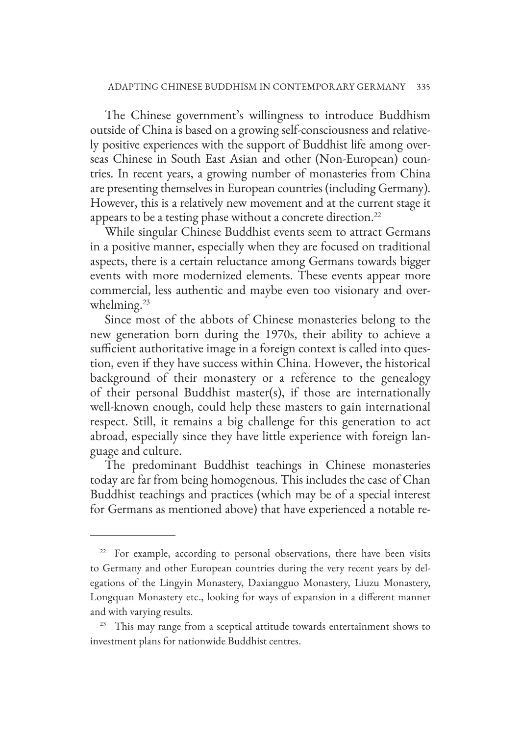The Chinese government's willingness to introduce Buddhism outside of China is based on a growing self-consciousness and relatively positive experiences with the support of Buddhist life among overseas Chinese in South East Asian and other (Non-European) countries. In recent years, a growing number of monasteries from China are presenting themselves in European countries (including Germany). However, this is a relatively new movement and at the current stage it appears to be a testing phase without a concrete direction.<sup>22</sup>

While singular Chinese Buddhist events seem to attract Germans in a positive manner, especially when they are focused on traditional aspects, there is a certain reluctance among Germans towards bigger events with more modernized elements. These events appear more commercial, less authentic and maybe even too visionary and overwhelming.<sup>23</sup>

Since most of the abbots of Chinese monasteries belong to the new generation born during the 1970s, their ability to achieve a sufficient authoritative image in a foreign context is called into question, even if they have success within China. However, the historical background of their monastery or a reference to the genealogy of their personal Buddhist master(s), if those are internationally well-known enough, could help these masters to gain international respect. Still, it remains a big challenge for this generation to act abroad, especially since they have little experience with foreign language and culture.

The predominant Buddhist teachings in Chinese monasteries today are far from being homogenous. This includes the case of Chan Buddhist teachings and practices (which may be of a special interest for Germans as mentioned above) that have experienced a notable re-

<sup>&</sup>lt;sup>22</sup> For example, according to personal observations, there have been visits to Germany and other European countries during the very recent years by delegations of the Lingyin Monastery, Daxiangguo Monastery, Liuzu Monastery, Longquan Monastery etc., looking for ways of expansion in a different manner and with varying results.

<sup>&</sup>lt;sup>23</sup> This may range from a sceptical attitude towards entertainment shows to investment plans for nationwide Buddhist centres.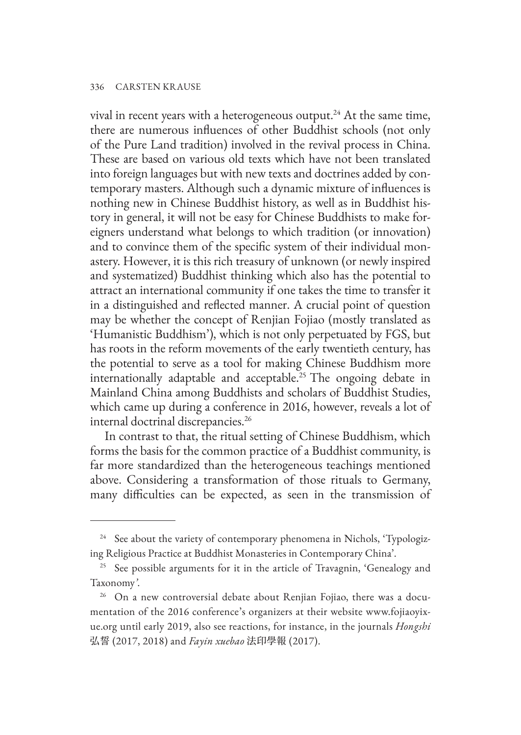vival in recent years with a heterogeneous output.<sup>24</sup> At the same time, there are numerous influences of other Buddhist schools (not only of the Pure Land tradition) involved in the revival process in China. These are based on various old texts which have not been translated into foreign languages but with new texts and doctrines added by contemporary masters. Although such a dynamic mixture of influences is nothing new in Chinese Buddhist history, as well as in Buddhist history in general, it will not be easy for Chinese Buddhists to make foreigners understand what belongs to which tradition (or innovation) and to convince them of the specific system of their individual monastery. However, it is this rich treasury of unknown (or newly inspired and systematized) Buddhist thinking which also has the potential to attract an international community if one takes the time to transfer it in a distinguished and reflected manner. A crucial point of question may be whether the concept of Renjian Fojiao (mostly translated as 'Humanistic Buddhism'), which is not only perpetuated by FGS, but has roots in the reform movements of the early twentieth century, has the potential to serve as a tool for making Chinese Buddhism more internationally adaptable and acceptable.<sup>25</sup> The ongoing debate in Mainland China among Buddhists and scholars of Buddhist Studies, which came up during a conference in 2016, however, reveals a lot of internal doctrinal discrepancies.26

In contrast to that, the ritual setting of Chinese Buddhism, which forms the basis for the common practice of a Buddhist community, is far more standardized than the heterogeneous teachings mentioned above. Considering a transformation of those rituals to Germany, many difficulties can be expected, as seen in the transmission of

<sup>&</sup>lt;sup>24</sup> See about the variety of contemporary phenomena in Nichols, 'Typologizing Religious Practice at Buddhist Monasteries in Contemporary China'.

<sup>&</sup>lt;sup>25</sup> See possible arguments for it in the article of Travagnin, 'Genealogy and Taxonomy*'*.

<sup>&</sup>lt;sup>26</sup> On a new controversial debate about Renjian Fojiao, there was a documentation of the 2016 conference's organizers at their website www.fojiaoyixue.org until early 2019, also see reactions, for instance, in the journals *Hongshi* 弘誓 (2017, 2018) and *Fayin xuebao* 法印學報 (2017).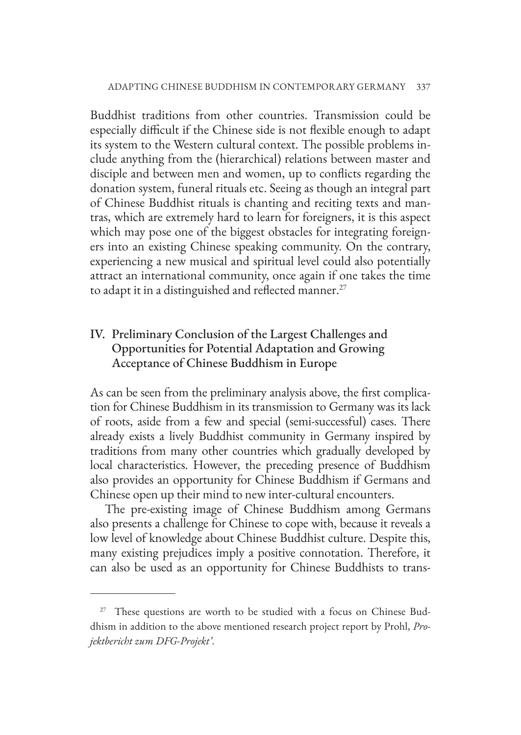Buddhist traditions from other countries. Transmission could be especially difficult if the Chinese side is not flexible enough to adapt its system to the Western cultural context. The possible problems include anything from the (hierarchical) relations between master and disciple and between men and women, up to conflicts regarding the donation system, funeral rituals etc. Seeing as though an integral part of Chinese Buddhist rituals is chanting and reciting texts and mantras, which are extremely hard to learn for foreigners, it is this aspect which may pose one of the biggest obstacles for integrating foreigners into an existing Chinese speaking community. On the contrary, experiencing a new musical and spiritual level could also potentially attract an international community, once again if one takes the time to adapt it in a distinguished and reflected manner.<sup>27</sup>

# IV. Preliminary Conclusion of the Largest Challenges and Opportunities for Potential Adaptation and Growing Acceptance of Chinese Buddhism in Europe

As can be seen from the preliminary analysis above, the first complication for Chinese Buddhism in its transmission to Germany was its lack of roots, aside from a few and special (semi-successful) cases. There already exists a lively Buddhist community in Germany inspired by traditions from many other countries which gradually developed by local characteristics. However, the preceding presence of Buddhism also provides an opportunity for Chinese Buddhism if Germans and Chinese open up their mind to new inter-cultural encounters.

The pre-existing image of Chinese Buddhism among Germans also presents a challenge for Chinese to cope with, because it reveals a low level of knowledge about Chinese Buddhist culture. Despite this, many existing prejudices imply a positive connotation. Therefore, it can also be used as an opportunity for Chinese Buddhists to trans-

 $27$  These questions are worth to be studied with a focus on Chinese Buddhism in addition to the above mentioned research project report by Prohl, *Projektbericht zum DFG-Projekt'*.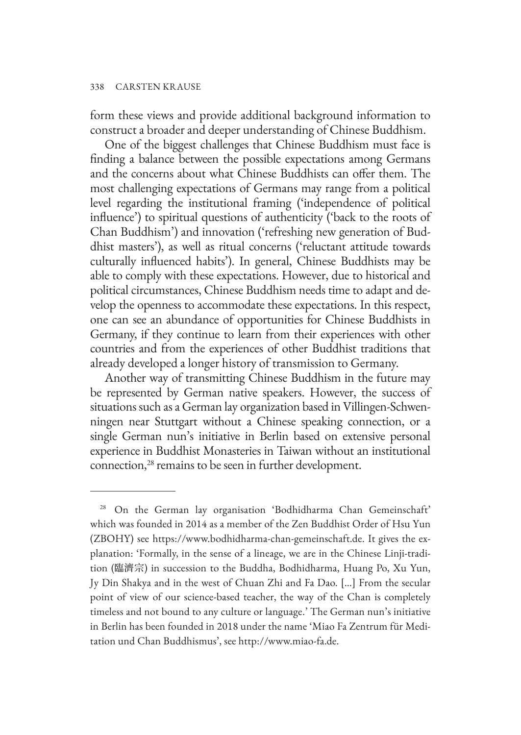form these views and provide additional background information to construct a broader and deeper understanding of Chinese Buddhism.

One of the biggest challenges that Chinese Buddhism must face is finding a balance between the possible expectations among Germans and the concerns about what Chinese Buddhists can offer them. The most challenging expectations of Germans may range from a political level regarding the institutional framing ('independence of political influence') to spiritual questions of authenticity ('back to the roots of Chan Buddhism') and innovation ('refreshing new generation of Buddhist masters'), as well as ritual concerns ('reluctant attitude towards culturally influenced habits'). In general, Chinese Buddhists may be able to comply with these expectations. However, due to historical and political circumstances, Chinese Buddhism needs time to adapt and develop the openness to accommodate these expectations. In this respect, one can see an abundance of opportunities for Chinese Buddhists in Germany, if they continue to learn from their experiences with other countries and from the experiences of other Buddhist traditions that already developed a longer history of transmission to Germany.

Another way of transmitting Chinese Buddhism in the future may be represented by German native speakers. However, the success of situations such as a German lay organization based in Villingen-Schwenningen near Stuttgart without a Chinese speaking connection, or a single German nun's initiative in Berlin based on extensive personal experience in Buddhist Monasteries in Taiwan without an institutional connection, <sup>28</sup> remains to be seen in further development.

<sup>28</sup> On the German lay organisation 'Bodhidharma Chan Gemeinschaft' which was founded in 2014 as a member of the Zen Buddhist Order of Hsu Yun (ZBOHY) see https://www.bodhidharma-chan-gemeinschaft.de. It gives the explanation: 'Formally, in the sense of a lineage, we are in the Chinese Linji-tradition (臨濟宗) in succession to the Buddha, Bodhidharma, Huang Po, Xu Yun, Jy Din Shakya and in the west of Chuan Zhi and Fa Dao. […] From the secular point of view of our science-based teacher, the way of the Chan is completely timeless and not bound to any culture or language.' The German nun's initiative in Berlin has been founded in 2018 under the name 'Miao Fa Zentrum für Meditation und Chan Buddhismus', see http://www.miao-fa.de.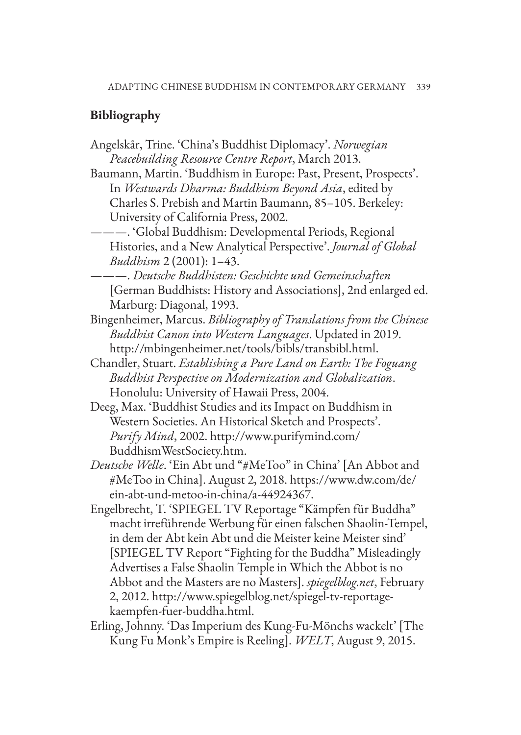# **Bibliography**

- Angelskår, Trine. 'China's Buddhist Diplomacy'. *Norwegian Peacebuilding Resource Centre Report*, March 2013.
- Baumann, Martin. 'Buddhism in Europe: Past, Present, Prospects'. In *Westwards Dharma: Buddhism Beyond Asia*, edited by Charles S. Prebish and Martin Baumann, 85–105. Berkeley: University of California Press, 2002.
- ———. 'Global Buddhism: Developmental Periods, Regional Histories, and a New Analytical Perspective'. *Journal of Global Buddhism* 2 (2001): 1–43.
- ———. *Deutsche Buddhisten: Geschichte und Gemeinschaften* [German Buddhists: History and Associations], 2nd enlarged ed. Marburg: Diagonal, 1993.
- Bingenheimer, Marcus. *Bibliography of Translations from the Chinese Buddhist Canon into Western Languages*. Updated in 2019. http://mbingenheimer.net/tools/bibls/transbibl.html.
- Chandler, Stuart. *Establishing a Pure Land on Earth: The Foguang Buddhist Perspective on Modernization and Globalization*. Honolulu: University of Hawaii Press, 2004.
- Deeg, Max. 'Buddhist Studies and its Impact on Buddhism in Western Societies. An Historical Sketch and Prospects'. *Purify Mind*, 2002. http://www.purifymind.com/ BuddhismWestSociety.htm.
- *Deutsche Welle*. 'Ein Abt und "#MeToo" in China' [An Abbot and #MeToo in China]. August 2, 2018. https://www.dw.com/de/ ein-abt-und-metoo-in-china/a-44924367.
- Engelbrecht, T. 'SPIEGEL TV Reportage "Kämpfen für Buddha" macht irreführende Werbung für einen falschen Shaolin-Tempel, in dem der Abt kein Abt und die Meister keine Meister sind' [SPIEGEL TV Report "Fighting for the Buddha" Misleadingly Advertises a False Shaolin Temple in Which the Abbot is no Abbot and the Masters are no Masters]. *spiegelblog.net*, February 2, 2012. http://www.spiegelblog.net/spiegel-tv-reportagekaempfen-fuer-buddha.html.
- Erling, Johnny. 'Das Imperium des Kung-Fu-Mönchs wackelt' [The Kung Fu Monk's Empire is Reeling]. *WELT*, August 9, 2015.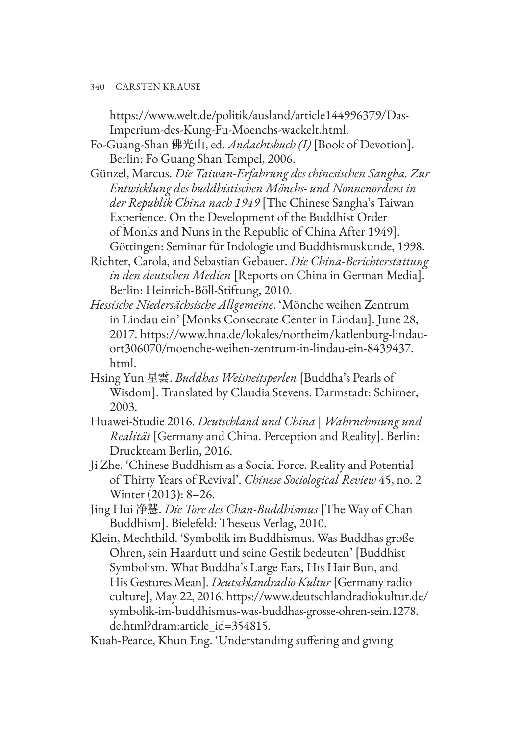https://www.welt.de/politik/ausland/article144996379/Das-Imperium-des-Kung-Fu-Moenchs-wackelt.html.

- Fo-Guang-Shan 佛光山, ed. *Andachtsbuch (I)* [Book of Devotion]. Berlin: Fo Guang Shan Tempel, 2006.
- Günzel, Marcus. *Die Taiwan-Erfahrung des chinesischen Sangha. Zur Entwicklung des buddhistischen Mönchs- und Nonnenordens in der Republik China nach 1949* [The Chinese Sangha's Taiwan Experience. On the Development of the Buddhist Order of Monks and Nuns in the Republic of China After 1949]. Göttingen: Seminar für Indologie und Buddhismuskunde, 1998.
- Richter, Carola, and Sebastian Gebauer. *Die China-Berichterstattung in den deutschen Medien* [Reports on China in German Media]. Berlin: Heinrich-Böll-Stiftung, 2010.
- *Hessische Niedersächsische Allgemeine*. 'Mönche weihen Zentrum in Lindau ein' [Monks Consecrate Center in Lindau]. June 28, 2017. https://www.hna.de/lokales/northeim/katlenburg-lindauort306070/moenche-weihen-zentrum-in-lindau-ein-8439437. html.
- Hsing Yun 星雲. *Buddhas Weisheitsperlen* [Buddha's Pearls of Wisdom]. Translated by Claudia Stevens. Darmstadt: Schirner, 2003.
- Huawei-Studie 2016. *Deutschland und China | Wahrnehmung und Realität* [Germany and China. Perception and Reality]. Berlin: Druckteam Berlin, 2016.
- Ji Zhe. 'Chinese Buddhism as a Social Force. Reality and Potential of Thirty Years of Revival'. *Chinese Sociological Review* 45, no. 2 Winter (2013): 8–26.
- Jing Hui 净慧. *Die Tore des Chan-Buddhismus* [The Way of Chan Buddhism]. Bielefeld: Theseus Verlag, 2010.
- Klein, Mechthild. 'Symbolik im Buddhismus. Was Buddhas große Ohren, sein Haardutt und seine Gestik bedeuten' [Buddhist Symbolism. What Buddha's Large Ears, His Hair Bun, and His Gestures Mean]. *Deutschlandradio Kultur* [Germany radio culture], May 22, 2016. https://www.deutschlandradiokultur.de/ symbolik-im-buddhismus-was-buddhas-grosse-ohren-sein.1278. de.html?dram:article\_id=354815.
- Kuah-Pearce, Khun Eng. 'Understanding suffering and giving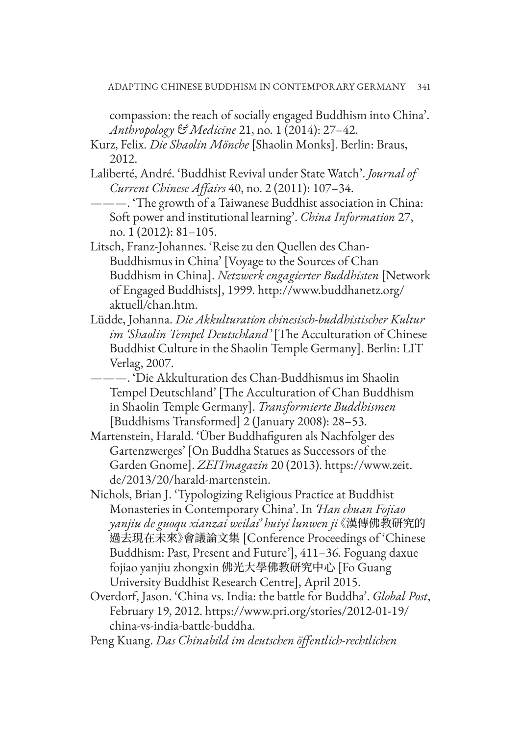compassion: the reach of socially engaged Buddhism into China'. *Anthropology & Medicine* 21, no. 1 (2014): 27–42.

Kurz, Felix. *Die Shaolin Mönche* [Shaolin Monks]. Berlin: Braus, 2012.

Laliberté, André. 'Buddhist Revival under State Watch'. *Journal of Current Chinese Affairs* 40, no. 2 (2011): 107–34.

———. 'The growth of a Taiwanese Buddhist association in China: Soft power and institutional learning'. *China Information* 27, no. 1 (2012): 81–105.

- Litsch, Franz-Johannes. 'Reise zu den Quellen des Chan-Buddhismus in China' [Voyage to the Sources of Chan Buddhism in China]. *Netzwerk engagierter Buddhisten* [Network of Engaged Buddhists], 1999. http://www.buddhanetz.org/ aktuell/chan.htm.
- Lüdde, Johanna. *Die Akkulturation chinesisch-buddhistischer Kultur im 'Shaolin Tempel Deutschland'* [The Acculturation of Chinese Buddhist Culture in the Shaolin Temple Germany]. Berlin: LIT Verlag, 2007.

———. 'Die Akkulturation des Chan-Buddhismus im Shaolin Tempel Deutschland' [The Acculturation of Chan Buddhism in Shaolin Temple Germany]. *Transformierte Buddhismen* [Buddhisms Transformed] 2 (January 2008): 28–53.

- Martenstein, Harald. 'Über Buddhafiguren als Nachfolger des Gartenzwerges' [On Buddha Statues as Successors of the Garden Gnome]. *ZEITmagazin* 20 (2013). https://www.zeit. de/2013/20/harald-martenstein.
- Nichols, Brian J. 'Typologizing Religious Practice at Buddhist Monasteries in Contemporary China'. In *'Han chuan Fojiao yanjiu de guoqu xianzai weilai' huiyi lunwen ji*《漢傳佛教研究的 過去現在未來》會議論文集 [Conference Proceedings of 'Chinese Buddhism: Past, Present and Future'], 411–36. Foguang daxue fojiao yanjiu zhongxin 佛光大學佛教研究中心 [Fo Guang University Buddhist Research Centre], April 2015.
- Overdorf, Jason. 'China vs. India: the battle for Buddha'. *Global Post*, February 19, 2012. https://www.pri.org/stories/2012-01-19/ china-vs-india-battle-buddha.

Peng Kuang. *Das Chinabild im deutschen öffentlich-rechtlichen*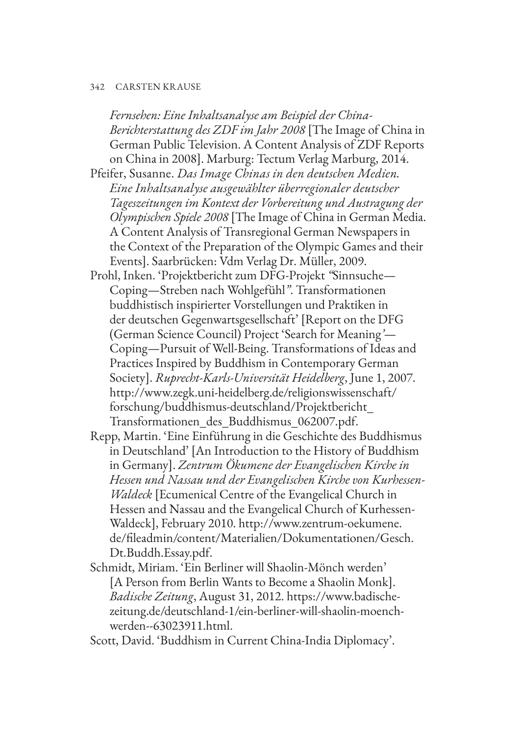*Fernsehen: Eine Inhaltsanalyse am Beispiel der China-Berichterstattung des ZDF im Jahr 2008* [The Image of China in German Public Television. A Content Analysis of ZDF Reports on China in 2008]. Marburg: Tectum Verlag Marburg, 2014.

Pfeifer, Susanne. *Das Image Chinas in den deutschen Medien. Eine Inhaltsanalyse ausgewählter überregionaler deutscher Tageszeitungen im Kontext der Vorbereitung und Austragung der Olympischen Spiele 2008* [The Image of China in German Media. A Content Analysis of Transregional German Newspapers in the Context of the Preparation of the Olympic Games and their Events]. Saarbrücken: Vdm Verlag Dr. Müller, 2009.

- Prohl, Inken. 'Projektbericht zum DFG-Projekt *"*Sinnsuche— Coping—Streben nach Wohlgefühl*"*. Transformationen buddhistisch inspirierter Vorstellungen und Praktiken in der deutschen Gegenwartsgesellschaft' [Report on the DFG (German Science Council) Project 'Search for Meaning*'*— Coping—Pursuit of Well-Being. Transformations of Ideas and Practices Inspired by Buddhism in Contemporary German Society]. *Ruprecht-Karls-Universität Heidelberg*, June 1, 2007. http://www.zegk.uni-heidelberg.de/religionswissenschaft/ forschung/buddhismus-deutschland/Projektbericht\_ Transformationen\_des\_Buddhismus\_062007.pdf.
- Repp, Martin. 'Eine Einführung in die Geschichte des Buddhismus in Deutschland' [An Introduction to the History of Buddhism in Germany]. *Zentrum Ökumene der Evangelischen Kirche in Hessen und Nassau und der Evangelischen Kirche von Kurhessen-Waldeck* [Ecumenical Centre of the Evangelical Church in Hessen and Nassau and the Evangelical Church of Kurhessen-Waldeck], February 2010. http://www.zentrum-oekumene. de/fileadmin/content/Materialien/Dokumentationen/Gesch. Dt.Buddh.Essay.pdf.
- Schmidt, Miriam. 'Ein Berliner will Shaolin-Mönch werden' [A Person from Berlin Wants to Become a Shaolin Monk]. *Badische Zeitung*, August 31, 2012. https://www.badischezeitung.de/deutschland-1/ein-berliner-will-shaolin-moenchwerden--63023911.html.

Scott, David. 'Buddhism in Current China-India Diplomacy'.